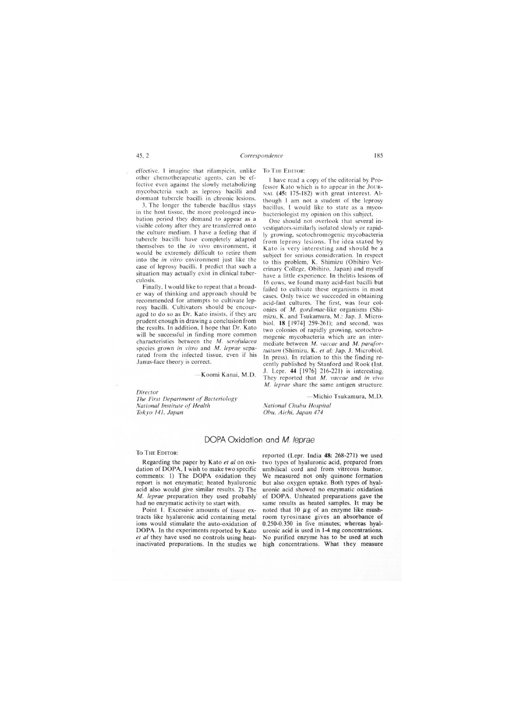## DOPA Oxidation and *M. leprae*

To THE EDITOR:

Regarding the paper by Kato *et al* on oxidation of DOPA, I wish to make two specific comments: I) The DOPA oxidation they report is not enzymatic; heated hyaluronic acid also would give similar results. 2) The *M. leprae* preparation they used probably' had no enzymatic activity to start with.

Point I. Excessive amounts of tissue extracts like hyaluronic acid containing metal ions would stimulate the auto-oxidation of DOPA. In the experiments reported by Kato *et al* they have used no controls using heatinactivated preparations. In the studies we reported (Lepr. India 48: 268-271) we used two types of hyaluronic acid, prepared from umbilical cord and from vitreous humor. We measured not only quinone formation but also oxygen uptake. Both types of hyaluronic acid showed no enzymatic oxidation of DOPA. Unheated preparations gave the same results as heated samples. It may be noted that 10  $\mu$ g of an enzyme like mushroom tyrosinase gives an absorbance of 0.250-0.350 in five minutes; whereas hyaluronic acid is used in 1-4 mg concentrations. No purified enzyme has to be used at such high concentrations. What they measure